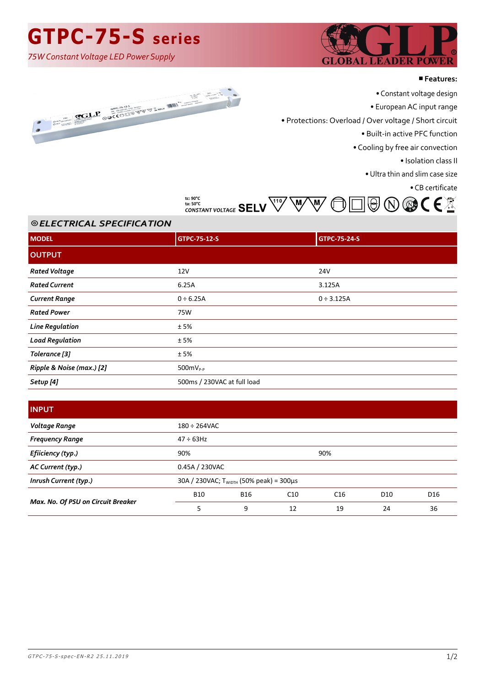# **GTPC-75-S series**

*75W Constant Voltage LED Power Supply*



#### ■**Features:**



• European AC input range

• Protections: Overload / Over voltage / Short circuit

• Built-in active PFC function

• Cooling by free air convection

• Isolation class II

• Ultra thin and slim case size

• CB certificate







#### ⦾ *ELECTRICAL SPECIFICATION ELECTRICAL SPECIFICATION*

| <b>MODEL</b>              | <b>GTPC-75-12-S</b>         | <b>GTPC-75-24-S</b> |
|---------------------------|-----------------------------|---------------------|
| <b>OUTPUT</b>             |                             |                     |
| <b>Rated Voltage</b>      | 12V                         | 24V                 |
| <b>Rated Current</b>      | 6.25A                       | 3.125A              |
| <b>Current Range</b>      | $0 \div 6.25A$              | $0 \div 3.125A$     |
| <b>Rated Power</b>        | 75W                         |                     |
| <b>Line Regulation</b>    | ± 5%                        |                     |
| <b>Load Regulation</b>    | ±5%                         |                     |
| Tolerance [3]             | ±5%                         |                     |
| Ripple & Noise (max.) [2] | $500$ m $V_{P-P}$           |                     |
| Setup [4]                 | 500ms / 230VAC at full load |                     |

### **INPUT**

| Voltage Range                      | $180 \div 264$ VAC                           |            |     |                 |                 |                 |
|------------------------------------|----------------------------------------------|------------|-----|-----------------|-----------------|-----------------|
| <b>Frequency Range</b>             | $47 \div 63$ Hz                              |            |     |                 |                 |                 |
| Efiiciency (typ.)                  | 90%                                          |            |     | 90%             |                 |                 |
| AC Current (typ.)                  | 0.45A / 230VAC                               |            |     |                 |                 |                 |
| Inrush Current (typ.)              | 30A / 230VAC; $T_{WIDTH}$ (50% peak) = 300µs |            |     |                 |                 |                 |
| Max. No. Of PSU on Circuit Breaker | <b>B10</b>                                   | <b>B16</b> | C10 | C <sub>16</sub> | D <sub>10</sub> | D <sub>16</sub> |
|                                    | 5                                            | 9          | 12  | 19              | 24              | 36              |